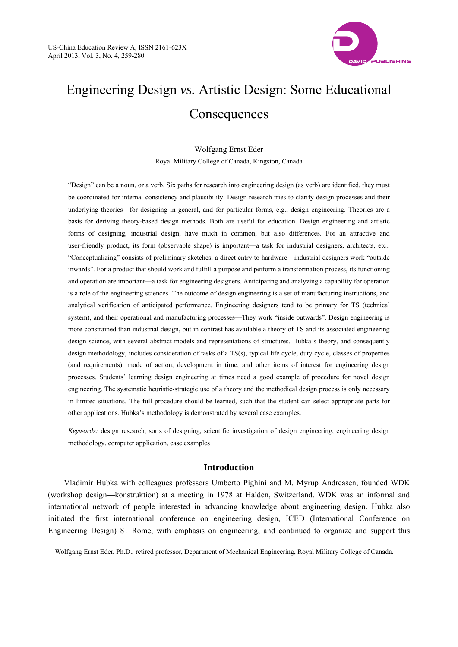$\overline{a}$ 



# Engineering Design *vs.* Artistic Design: Some Educational **Consequences**

Wolfgang Ernst Eder Royal Military College of Canada, Kingston, Canada

"Design" can be a noun, or a verb. Six paths for research into engineering design (as verb) are identified, they must be coordinated for internal consistency and plausibility. Design research tries to clarify design processes and their underlying theories—for designing in general, and for particular forms, e.g., design engineering. Theories are a basis for deriving theory-based design methods. Both are useful for education. Design engineering and artistic forms of designing, industrial design, have much in common, but also differences. For an attractive and user-friendly product, its form (observable shape) is important—a task for industrial designers, architects, etc.. "Conceptualizing" consists of preliminary sketches, a direct entry to hardware—industrial designers work "outside inwards". For a product that should work and fulfill a purpose and perform a transformation process, its functioning and operation are important—a task for engineering designers. Anticipating and analyzing a capability for operation is a role of the engineering sciences. The outcome of design engineering is a set of manufacturing instructions, and analytical verification of anticipated performance. Engineering designers tend to be primary for TS (technical system), and their operational and manufacturing processes—They work "inside outwards". Design engineering is more constrained than industrial design, but in contrast has available a theory of TS and its associated engineering design science, with several abstract models and representations of structures. Hubka's theory, and consequently design methodology, includes consideration of tasks of a TS(s), typical life cycle, duty cycle, classes of properties (and requirements), mode of action, development in time, and other items of interest for engineering design processes. Students' learning design engineering at times need a good example of procedure for novel design engineering. The systematic heuristic-strategic use of a theory and the methodical design process is only necessary in limited situations. The full procedure should be learned, such that the student can select appropriate parts for other applications. Hubka's methodology is demonstrated by several case examples.

*Keywords:* design research, sorts of designing, scientific investigation of design engineering, engineering design methodology, computer application, case examples

# **Introduction**

Vladimir Hubka with colleagues professors Umberto Pighini and M. Myrup Andreasen, founded WDK (workshop design—konstruktion) at a meeting in 1978 at Halden, Switzerland. WDK was an informal and international network of people interested in advancing knowledge about engineering design. Hubka also initiated the first international conference on engineering design, ICED (International Conference on Engineering Design) 81 Rome, with emphasis on engineering, and continued to organize and support this

Wolfgang Ernst Eder, Ph.D., retired professor, Department of Mechanical Engineering, Royal Military College of Canada.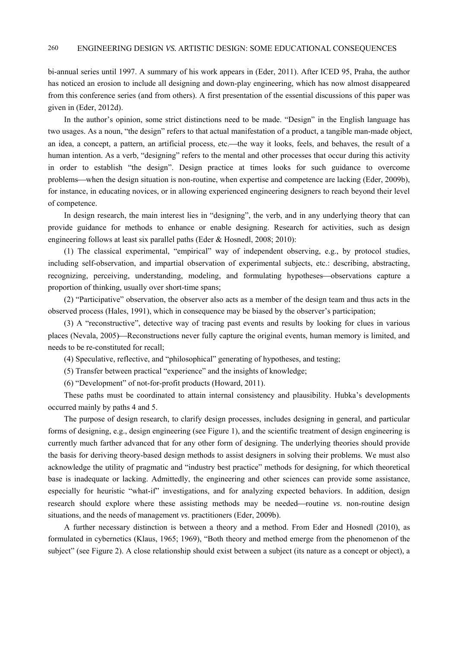bi-annual series until 1997. A summary of his work appears in (Eder, 2011). After ICED 95, Praha, the author has noticed an erosion to include all designing and down-play engineering, which has now almost disappeared from this conference series (and from others). A first presentation of the essential discussions of this paper was given in (Eder, 2012d).

In the author's opinion, some strict distinctions need to be made. "Design" in the English language has two usages. As a noun, "the design" refers to that actual manifestation of a product, a tangible man-made object, an idea, a concept, a pattern, an artificial process, etc.—the way it looks, feels, and behaves, the result of a human intention. As a verb, "designing" refers to the mental and other processes that occur during this activity in order to establish "the design". Design practice at times looks for such guidance to overcome problemswhen the design situation is non-routine, when expertise and competence are lacking (Eder, 2009b), for instance, in educating novices, or in allowing experienced engineering designers to reach beyond their level of competence.

In design research, the main interest lies in "designing", the verb, and in any underlying theory that can provide guidance for methods to enhance or enable designing. Research for activities, such as design engineering follows at least six parallel paths (Eder & Hosnedl, 2008; 2010):

(1) The classical experimental, "empirical" way of independent observing, e.g., by protocol studies, including self-observation, and impartial observation of experimental subjects, etc.: describing, abstracting, recognizing, perceiving, understanding, modeling, and formulating hypotheses—observations capture a proportion of thinking, usually over short-time spans;

(2) "Participative" observation, the observer also acts as a member of the design team and thus acts in the observed process (Hales, 1991), which in consequence may be biased by the observer's participation;

(3) A "reconstructive", detective way of tracing past events and results by looking for clues in various places (Nevala, 2005)—Reconstructions never fully capture the original events, human memory is limited, and needs to be re-constituted for recall;

(4) Speculative, reflective, and "philosophical" generating of hypotheses, and testing;

(5) Transfer between practical "experience" and the insights of knowledge;

(6) "Development" of not-for-profit products (Howard, 2011).

These paths must be coordinated to attain internal consistency and plausibility. Hubka's developments occurred mainly by paths 4 and 5.

The purpose of design research, to clarify design processes, includes designing in general, and particular forms of designing, e.g., design engineering (see Figure 1), and the scientific treatment of design engineering is currently much farther advanced that for any other form of designing. The underlying theories should provide the basis for deriving theory-based design methods to assist designers in solving their problems. We must also acknowledge the utility of pragmatic and "industry best practice" methods for designing, for which theoretical base is inadequate or lacking. Admittedly, the engineering and other sciences can provide some assistance, especially for heuristic "what-if" investigations, and for analyzing expected behaviors. In addition, design research should explore where these assisting methods may be needed—routine *vs*. non-routine design situations, and the needs of management *vs*. practitioners (Eder, 2009b).

A further necessary distinction is between a theory and a method. From Eder and Hosnedl (2010), as formulated in cybernetics (Klaus, 1965; 1969), "Both theory and method emerge from the phenomenon of the subject" (see Figure 2). A close relationship should exist between a subject (its nature as a concept or object), a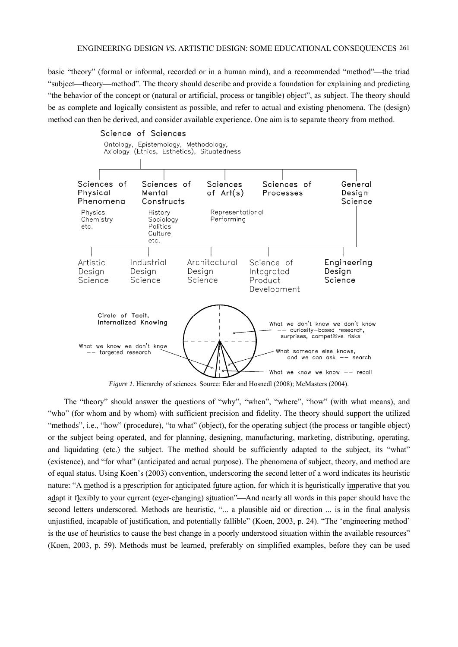basic "theory" (formal or informal, recorded or in a human mind), and a recommended "method"—the triad "subject—theory—method". The theory should describe and provide a foundation for explaining and predicting "the behavior of the concept or (natural or artificial, process or tangible) object", as subject. The theory should be as complete and logically consistent as possible, and refer to actual and existing phenomena. The (design) method can then be derived, and consider available experience. One aim is to separate theory from method.



*Figure 1*. Hierarchy of sciences. Source: Eder and Hosnedl (2008); McMasters (2004).

The "theory" should answer the questions of "why", "when", "where", "how" (with what means), and "who" (for whom and by whom) with sufficient precision and fidelity. The theory should support the utilized "methods", i.e., "how" (procedure), "to what" (object), for the operating subject (the process or tangible object) or the subject being operated, and for planning, designing, manufacturing, marketing, distributing, operating, and liquidating (etc.) the subject. The method should be sufficiently adapted to the subject, its "what" (existence), and "for what" (anticipated and actual purpose). The phenomena of subject, theory, and method are of equal status. Using Koen's (2003) convention, underscoring the second letter of a word indicates its heuristic nature: "A method is a prescription for anticipated future action, for which it is heuristically imperative that you adapt it flexibly to your current (ever-changing) situation"—And nearly all words in this paper should have the second letters underscored. Methods are heuristic, "... a plausible aid or direction ... is in the final analysis unjustified, incapable of justification, and potentially fallible" (Koen, 2003, p. 24). "The 'engineering method' is the use of heuristics to cause the best change in a poorly understood situation within the available resources" (Koen, 2003, p. 59). Methods must be learned, preferably on simplified examples, before they can be used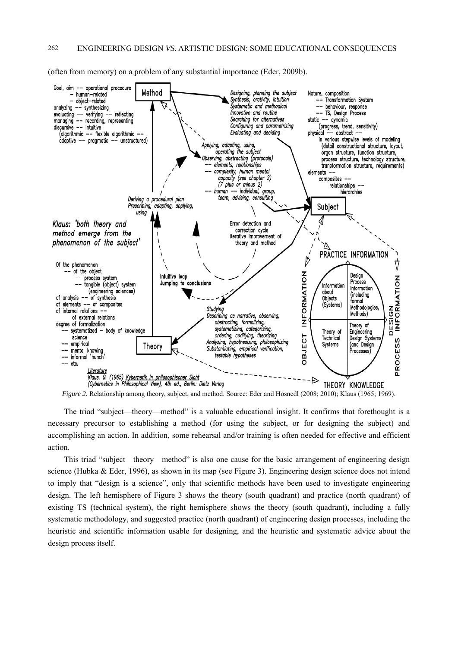(often from memory) on a problem of any substantial importance (Eder, 2009b).



*Figure 2.* Relationship among theory, subject, and method. Source: Eder and Hosnedl (2008; 2010); Klaus (1965; 1969).

The triad "subject—theory—method" is a valuable educational insight. It confirms that forethought is a necessary precursor to establishing a method (for using the subject, or for designing the subject) and accomplishing an action. In addition, some rehearsal and/or training is often needed for effective and efficient action.

This triad "subject—theory—method" is also one cause for the basic arrangement of engineering design science (Hubka & Eder, 1996), as shown in its map (see Figure 3). Engineering design science does not intend to imply that "design is a science", only that scientific methods have been used to investigate engineering design. The left hemisphere of Figure 3 shows the theory (south quadrant) and practice (north quadrant) of existing TS (technical system), the right hemisphere shows the theory (south quadrant), including a fully systematic methodology, and suggested practice (north quadrant) of engineering design processes, including the heuristic and scientific information usable for designing, and the heuristic and systematic advice about the design process itself.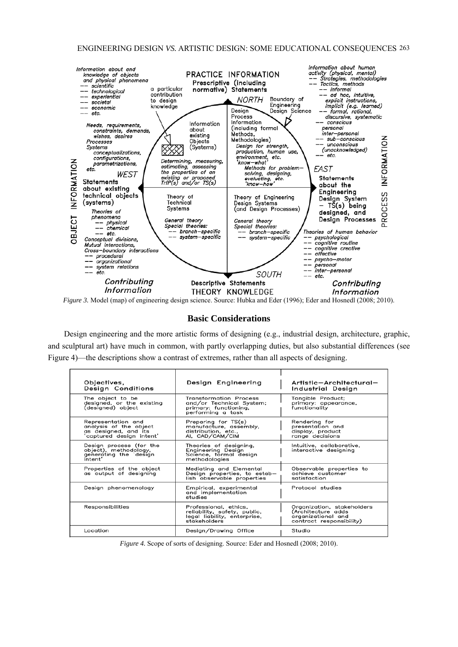

*Figure 3.* Model (map) of engineering design science. Source: Hubka and Eder (1996); Eder and Hosnedl (2008; 2010).

# **Basic Considerations**

Design engineering and the more artistic forms of designing (e.g., industrial design, architecture, graphic, and sculptural art) have much in common, with partly overlapping duties, but also substantial differences (see Figure 4)—the descriptions show a contrast of extremes, rather than all aspects of designing.

| Objectives,<br>Design Conditions                                                                 | Design Engineering                                                                                    | Artistic-Architectural-<br>Industrial Design                                                       |
|--------------------------------------------------------------------------------------------------|-------------------------------------------------------------------------------------------------------|----------------------------------------------------------------------------------------------------|
| The object to be<br>designed, or the existing<br>(designed) object                               | Transformation Process<br>and/or Technical System;<br>primary: functioning,<br>performing a task      | Tangible Product:<br>primary: appearance,<br>functionality                                         |
| Representation and<br>analysis of the object<br>as designed, and its<br>'captured design intent' | Preparing for TS(s)<br>manufacture, assembly,<br>distribution, etc.,<br>AI, CAD/CAM/CIM               | Rendering for<br>presentation and<br>display, product<br>range decisions                           |
| Design process (for the<br>object), methodology,<br>generating the design<br>intent'             | Theories of designing,<br>Engineering Design<br>Science, formal design<br>methodologies               | Intuitive, collaborative,<br>interactive designing                                                 |
| Properties of the object<br>as output of designing                                               | Mediating and Elemental<br>Design properties, to estab-<br>lish observable properties                 | Observable properties to<br>achieve customer<br>satisfaction                                       |
| Design phenomenology                                                                             | Empirical, experimental<br>and implementation<br>studies                                              | Protocol studies                                                                                   |
| Responsibilities                                                                                 | Professional, ethics,<br>reliability, safety, public,<br>legal liability, enterprise,<br>stakeholders | Organization, stakeholders<br>(Architecture adds<br>organizational and<br>contract responsibility) |
| Location                                                                                         | Design/Drawing Office                                                                                 | Studio                                                                                             |

*Figure 4.* Scope of sorts of designing. Source: Eder and Hosnedl (2008; 2010).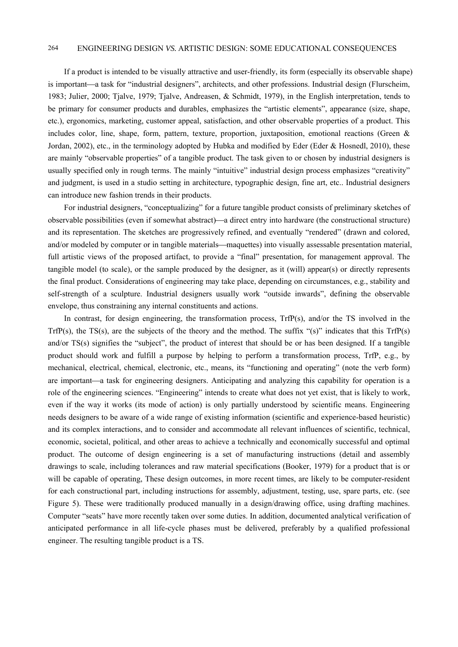If a product is intended to be visually attractive and user-friendly, its form (especially its observable shape) is important—a task for "industrial designers", architects, and other professions. Industrial design (Flurscheim, 1983; Julier, 2000; Tjalve, 1979; Tjalve, Andreasen, & Schmidt, 1979), in the English interpretation, tends to be primary for consumer products and durables, emphasizes the "artistic elements", appearance (size, shape, etc.), ergonomics, marketing, customer appeal, satisfaction, and other observable properties of a product. This includes color, line, shape, form, pattern, texture, proportion, juxtaposition, emotional reactions (Green & Jordan, 2002), etc., in the terminology adopted by Hubka and modified by Eder (Eder & Hosnedl, 2010), these are mainly "observable properties" of a tangible product. The task given to or chosen by industrial designers is usually specified only in rough terms. The mainly "intuitive" industrial design process emphasizes "creativity" and judgment, is used in a studio setting in architecture, typographic design, fine art, etc.. Industrial designers can introduce new fashion trends in their products.

For industrial designers, "conceptualizing" for a future tangible product consists of preliminary sketches of observable possibilities (even if somewhat abstract)—a direct entry into hardware (the constructional structure) and its representation. The sketches are progressively refined, and eventually "rendered" (drawn and colored, and/or modeled by computer or in tangible materials—maquettes) into visually assessable presentation material, full artistic views of the proposed artifact, to provide a "final" presentation, for management approval. The tangible model (to scale), or the sample produced by the designer, as it (will) appear(s) or directly represents the final product. Considerations of engineering may take place, depending on circumstances, e.g., stability and self-strength of a sculpture. Industrial designers usually work "outside inwards", defining the observable envelope, thus constraining any internal constituents and actions.

In contrast, for design engineering, the transformation process, TrfP(s), and/or the TS involved in the TrfP(s), the TS(s), are the subjects of the theory and the method. The suffix "(s)" indicates that this  $TrP(s)$ and/or TS(s) signifies the "subject", the product of interest that should be or has been designed. If a tangible product should work and fulfill a purpose by helping to perform a transformation process, TrfP, e.g., by mechanical, electrical, chemical, electronic, etc., means, its "functioning and operating" (note the verb form) are important—a task for engineering designers. Anticipating and analyzing this capability for operation is a role of the engineering sciences. "Engineering" intends to create what does not yet exist, that is likely to work, even if the way it works (its mode of action) is only partially understood by scientific means. Engineering needs designers to be aware of a wide range of existing information (scientific and experience-based heuristic) and its complex interactions, and to consider and accommodate all relevant influences of scientific, technical, economic, societal, political, and other areas to achieve a technically and economically successful and optimal product. The outcome of design engineering is a set of manufacturing instructions (detail and assembly drawings to scale, including tolerances and raw material specifications (Booker, 1979) for a product that is or will be capable of operating, These design outcomes, in more recent times, are likely to be computer-resident for each constructional part, including instructions for assembly, adjustment, testing, use, spare parts, etc. (see Figure 5). These were traditionally produced manually in a design/drawing office, using drafting machines. Computer "seats" have more recently taken over some duties. In addition, documented analytical verification of anticipated performance in all life-cycle phases must be delivered, preferably by a qualified professional engineer. The resulting tangible product is a TS.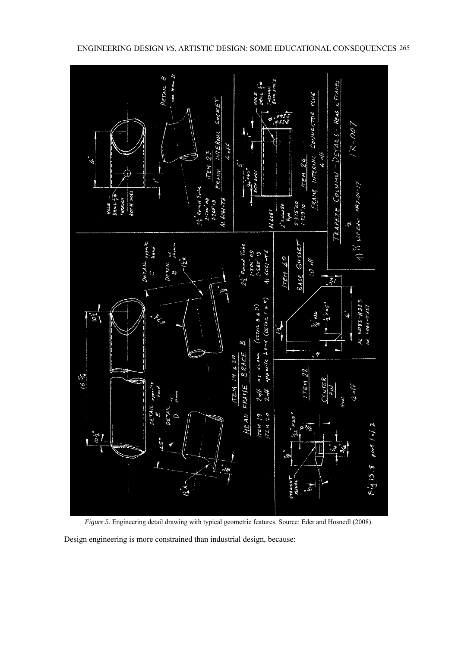



*Figure 5*. Engineering detail drawing with typical geometric features. Source: Eder and Hosnedl (2008).

Design engineering is more constrained than industrial design, because: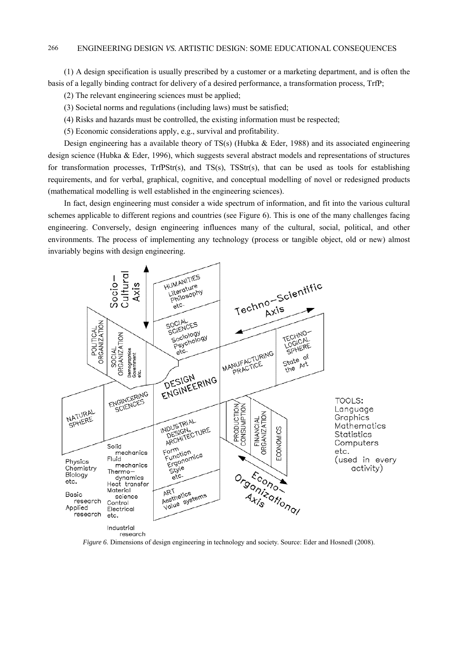(1) A design specification is usually prescribed by a customer or a marketing department, and is often the basis of a legally binding contract for delivery of a desired performance, a transformation process, TrfP;

(2) The relevant engineering sciences must be applied;

(3) Societal norms and regulations (including laws) must be satisfied;

(4) Risks and hazards must be controlled, the existing information must be respected;

(5) Economic considerations apply, e.g., survival and profitability.

Design engineering has a available theory of  $TS(s)$  (Hubka & Eder, 1988) and its associated engineering design science (Hubka & Eder, 1996), which suggests several abstract models and representations of structures for transformation processes,  $TrIPStr(s)$ , and  $TS(s)$ ,  $TSStr(s)$ , that can be used as tools for establishing requirements, and for verbal, graphical, cognitive, and conceptual modelling of novel or redesigned products (mathematical modelling is well established in the engineering sciences).

In fact, design engineering must consider a wide spectrum of information, and fit into the various cultural schemes applicable to different regions and countries (see Figure 6). This is one of the many challenges facing engineering. Conversely, design engineering influences many of the cultural, social, political, and other environments. The process of implementing any technology (process or tangible object, old or new) almost invariably begins with design engineering.



*Figure 6*. Dimensions of design engineering in technology and society. Source: Eder and Hosnedl (2008).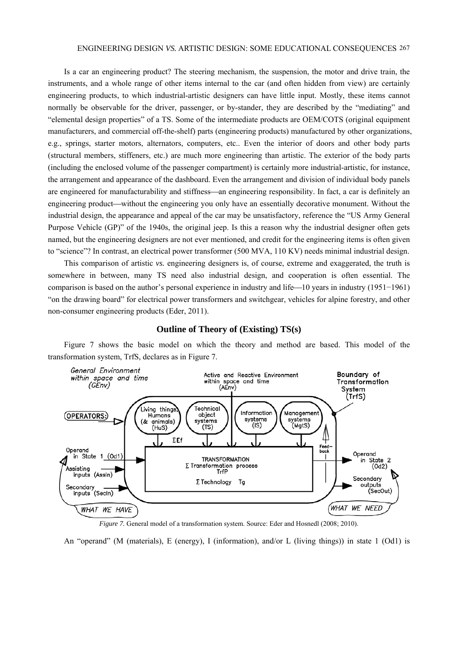Is a car an engineering product? The steering mechanism, the suspension, the motor and drive train, the instruments, and a whole range of other items internal to the car (and often hidden from view) are certainly engineering products, to which industrial-artistic designers can have little input. Mostly, these items cannot normally be observable for the driver, passenger, or by-stander, they are described by the "mediating" and "elemental design properties" of a TS. Some of the intermediate products are OEM/COTS (original equipment manufacturers, and commercial off-the-shelf) parts (engineering products) manufactured by other organizations, e.g., springs, starter motors, alternators, computers, etc.. Even the interior of doors and other body parts (structural members, stiffeners, etc.) are much more engineering than artistic. The exterior of the body parts (including the enclosed volume of the passenger compartment) is certainly more industrial-artistic, for instance, the arrangement and appearance of the dashboard. Even the arrangement and division of individual body panels are engineered for manufacturability and stiffness—an engineering responsibility. In fact, a car is definitely an engineering product—without the engineering you only have an essentially decorative monument. Without the industrial design, the appearance and appeal of the car may be unsatisfactory, reference the "US Army General Purpose Vehicle (GP)" of the 1940s, the original jeep. Is this a reason why the industrial designer often gets named, but the engineering designers are not ever mentioned, and credit for the engineering items is often given to "science"? In contrast, an electrical power transformer (500 MVA, 110 KV) needs minimal industrial design.

This comparison of artistic *vs.* engineering designers is, of course, extreme and exaggerated, the truth is somewhere in between, many TS need also industrial design, and cooperation is often essential. The comparison is based on the author's personal experience in industry and life—10 years in industry (1951–1961) "on the drawing board" for electrical power transformers and switchgear, vehicles for alpine forestry, and other non-consumer engineering products (Eder, 2011).



# **Outline of Theory of (Existing) TS(s)**

Figure 7 shows the basic model on which the theory and method are based. This model of the transformation system, TrfS, declares as in Figure 7.

*Figure 7.* General model of a transformation system. Source: Eder and Hosnedl (2008; 2010).

An "operand" (M (materials), E (energy), I (information), and/or L (living things)) in state 1 (Od1) is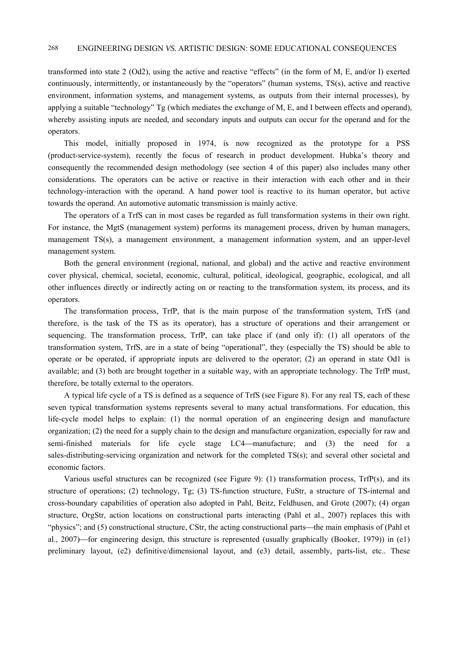transformed into state 2 (Od2), using the active and reactive "effects" (in the form of M, E, and/or I) exerted continuously, intermittently, or instantaneously by the "operators" (human systems, TS(s), active and reactive environment, information systems, and management systems, as outputs from their internal processes), by applying a suitable "technology" Tg (which mediates the exchange of M, E, and I between effects and operand), whereby assisting inputs are needed, and secondary inputs and outputs can occur for the operand and for the operators.

This model, initially proposed in 1974, is now recognized as the prototype for a PSS (product-service-system), recently the focus of research in product development. Hubka's theory and consequently the recommended design methodology (see section 4 of this paper) also includes many other considerations. The operators can be active or reactive in their interaction with each other and in their technology-interaction with the operand. A hand power tool is reactive to its human operator, but active towards the operand. An automotive automatic transmission is mainly active.

The operators of a TrfS can in most cases be regarded as full transformation systems in their own right. For instance, the MgtS (management system) performs its management process, driven by human managers, management TS(s), a management environment, a management information system, and an upper-level management system.

Both the general environment (regional, national, and global) and the active and reactive environment cover physical, chemical, societal, economic, cultural, political, ideological, geographic, ecological, and all other influences directly or indirectly acting on or reacting to the transformation system, its process, and its operators.

The transformation process, TrfP, that is the main purpose of the transformation system, TrfS (and therefore, is the task of the TS as its operator), has a structure of operations and their arrangement or sequencing. The transformation process, TrfP, can take place if (and only if): (1) all operators of the transformation system, TrfS, are in a state of being "operational", they (especially the TS) should be able to operate or be operated, if appropriate inputs are delivered to the operator; (2) an operand in state Od1 is available; and (3) both are brought together in a suitable way, with an appropriate technology. The TrfP must, therefore, be totally external to the operators.

A typical life cycle of a TS is defined as a sequence of TrfS (see Figure 8). For any real TS, each of these seven typical transformation systems represents several to many actual transformations. For education, this life-cycle model helps to explain: (1) the normal operation of an engineering design and manufacture organization; (2) the need for a supply chain to the design and manufacture organization, especially for raw and semi-finished materials for life cycle stage  $LC4$ —manufacture; and (3) the need for a sales-distributing-servicing organization and network for the completed TS(s); and several other societal and economic factors.

Various useful structures can be recognized (see Figure 9): (1) transformation process,  $TrfP(s)$ , and its structure of operations; (2) technology, Tg; (3) TS-function structure, FuStr, a structure of TS-internal and cross-boundary capabilities of operation also adopted in Pahl, Beitz, Feldhusen, and Grote (2007); (4) organ structure, OrgStr, action locations on constructional parts interacting (Pahl et al., 2007) replaces this with "physics"; and  $(5)$  constructional structure, CStr, the acting constructional parts—the main emphasis of (Pahl et al., 2007)—for engineering design, this structure is represented (usually graphically (Booker, 1979)) in (e1) preliminary layout, (e2) definitive/dimensional layout, and (e3) detail, assembly, parts-list, etc.. These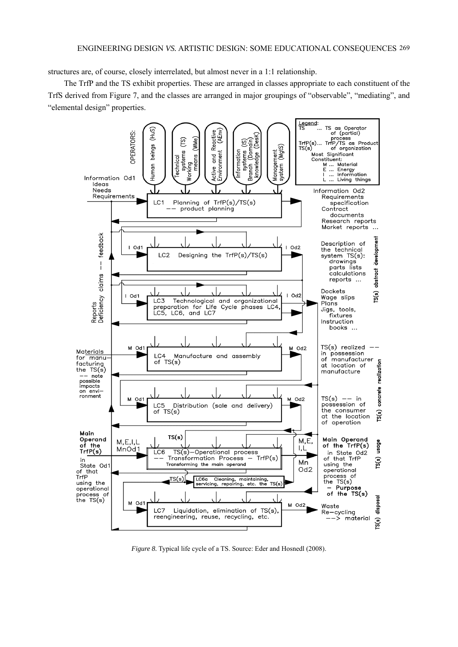structures are, of course, closely interrelated, but almost never in a 1:1 relationship.

The TrfP and the TS exhibit properties. These are arranged in classes appropriate to each constituent of the TrfS derived from Figure 7, and the classes are arranged in major groupings of "observable", "mediating", and "elemental design" properties.



*Figure 8.* Typical life cycle of a TS. Source: Eder and Hosnedl (2008).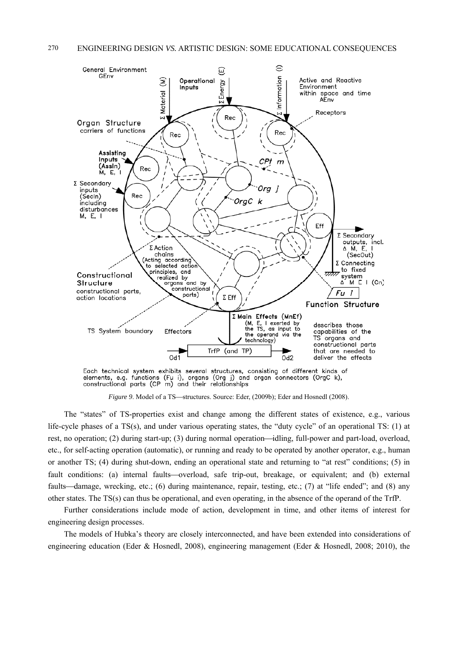

elements, e.g. functions (Fu i), organs (Org j) and organ connectors (OrgC k), constructional parts (CP m) and their relationships

*Figure 9.* Model of a TS—structures. Source: Eder, (2009b); Eder and Hosnedl (2008).

The "states" of TS-properties exist and change among the different states of existence, e.g., various life-cycle phases of a TS(s), and under various operating states, the "duty cycle" of an operational TS: (1) at rest, no operation; (2) during start-up; (3) during normal operation—idling, full-power and part-load, overload, etc., for self-acting operation (automatic), or running and ready to be operated by another operator, e.g., human or another TS; (4) during shut-down, ending an operational state and returning to "at rest" conditions; (5) in fault conditions: (a) internal faults—overload, safe trip-out, breakage, or equivalent; and (b) external faults—damage, wrecking, etc.; (6) during maintenance, repair, testing, etc.; (7) at "life ended"; and (8) any other states. The TS(s) can thus be operational, and even operating, in the absence of the operand of the TrfP.

Further considerations include mode of action, development in time, and other items of interest for engineering design processes.

The models of Hubka's theory are closely interconnected, and have been extended into considerations of engineering education (Eder & Hosnedl, 2008), engineering management (Eder & Hosnedl, 2008; 2010), the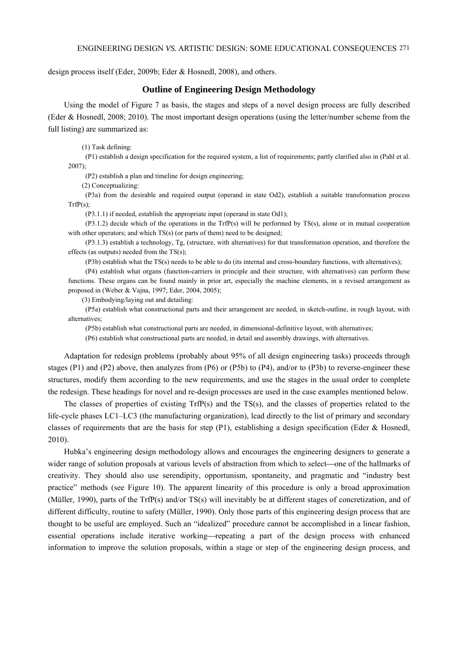design process itself (Eder, 2009b; Eder & Hosnedl, 2008), and others.

## **Outline of Engineering Design Methodology**

Using the model of Figure 7 as basis, the stages and steps of a novel design process are fully described (Eder & Hosnedl, 2008; 2010). The most important design operations (using the letter/number scheme from the full listing) are summarized as:

(1) Task defining:

(P1) establish a design specification for the required system, a list of requirements; partly clarified also in (Pahl et al. 2007);

(P2) establish a plan and timeline for design engineering;

(2) Conceptualizing:

(P3a) from the desirable and required output (operand in state Od2), establish a suitable transformation process  $TrfP(s);$ 

(P3.1.1) if needed, establish the appropriate input (operand in state Od1);

(P3.1.2) decide which of the operations in the TrfP(s) will be performed by TS(s), alone or in mutual cooperation with other operators; and which  $TS(s)$  (or parts of them) need to be designed;

(P3.1.3) establish a technology, Tg, (structure, with alternatives) for that transformation operation, and therefore the effects (as outputs) needed from the TS(s);

(P3b) establish what the TS(s) needs to be able to do (its internal and cross-boundary functions, with alternatives);

(P4) establish what organs (function-carriers in principle and their structure, with alternatives) can perform these functions. These organs can be found mainly in prior art, especially the machine elements, in a revised arrangement as proposed in (Weber & Vajna, 1997; Eder, 2004, 2005);

(3) Embodying/laying out and detailing:

(P5a) establish what constructional parts and their arrangement are needed, in sketch-outline, in rough layout, with alternatives;

(P5b) establish what constructional parts are needed, in dimensional-definitive layout, with alternatives;

(P6) establish what constructional parts are needed, in detail and assembly drawings, with alternatives.

Adaptation for redesign problems (probably about 95% of all design engineering tasks) proceeds through stages (P1) and (P2) above, then analyzes from (P6) or (P5b) to (P4), and/or to (P3b) to reverse-engineer these structures, modify them according to the new requirements, and use the stages in the usual order to complete the redesign. These headings for novel and re-design processes are used in the case examples mentioned below.

The classes of properties of existing TrfP(s) and the TS(s), and the classes of properties related to the life-cycle phases LC1–LC3 (the manufacturing organization), lead directly to the list of primary and secondary classes of requirements that are the basis for step (P1), establishing a design specification (Eder & Hosnedl, 2010).

Hubka's engineering design methodology allows and encourages the engineering designers to generate a wider range of solution proposals at various levels of abstraction from which to select—one of the hallmarks of creativity. They should also use serendipity, opportunism, spontaneity, and pragmatic and "industry best practice" methods (see Figure 10). The apparent linearity of this procedure is only a broad approximation (Müller, 1990), parts of the TrfP(s) and/or TS(s) will inevitably be at different stages of concretization, and of different difficulty, routine to safety (Müller, 1990). Only those parts of this engineering design process that are thought to be useful are employed. Such an "idealized" procedure cannot be accomplished in a linear fashion, essential operations include iterative working—repeating a part of the design process with enhanced information to improve the solution proposals, within a stage or step of the engineering design process, and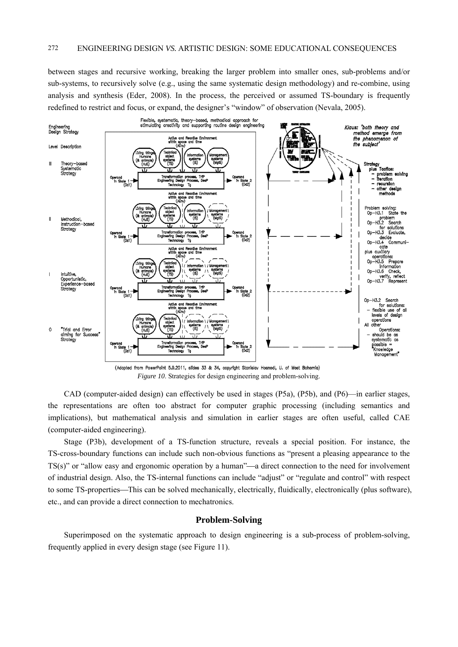between stages and recursive working, breaking the larger problem into smaller ones, sub-problems and/or sub-systems, to recursively solve (e.g., using the same systematic design methodology) and re-combine, using analysis and synthesis (Eder, 2008). In the process, the perceived or assumed TS-boundary is frequently redefined to restrict and focus, or expand, the designer's "window" of observation (Nevala, 2005).



(Adapted from PowerPoint 5.9.2011, slides 33 & 34, copyright Stanislav Hosnedl, U. of West Bohemia) *Figure 10*. Strategies for design engineering and problem-solving.

CAD (computer-aided design) can effectively be used in stages (P5a), (P5b), and (P6)—in earlier stages, the representations are often too abstract for computer graphic processing (including semantics and implications), but mathematical analysis and simulation in earlier stages are often useful, called CAE (computer-aided engineering).

Stage (P3b), development of a TS-function structure, reveals a special position. For instance, the TS-cross-boundary functions can include such non-obvious functions as "present a pleasing appearance to the  $TS(s)$ " or "allow easy and ergonomic operation by a human"—a direct connection to the need for involvement of industrial design. Also, the TS-internal functions can include "adjust" or "regulate and control" with respect to some TS-properties—This can be solved mechanically, electrically, fluidically, electronically (plus software), etc., and can provide a direct connection to mechatronics.

# **Problem-Solving**

Superimposed on the systematic approach to design engineering is a sub-process of problem-solving, frequently applied in every design stage (see Figure 11).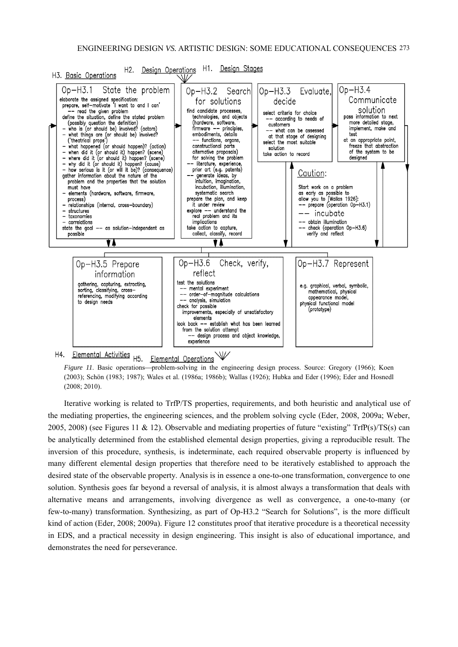

H4. Elemental Activities <sub>H5.</sub> 业 Elemental Operations

*Figure 11*. Basic operations—problem-solving in the engineering design process. Source: Gregory (1966); Koen (2003); Schön (1983; 1987); Wales et al. (1986a; 1986b); Wallas (1926); Hubka and Eder (1996); Eder and Hosnedl (2008; 2010).

Iterative working is related to TrfP/TS properties, requirements, and both heuristic and analytical use of the mediating properties, the engineering sciences, and the problem solving cycle (Eder, 2008, 2009a; Weber, 2005, 2008) (see Figures 11 & 12). Observable and mediating properties of future "existing" TrfP(s)/TS(s) can be analytically determined from the established elemental design properties, giving a reproducible result. The inversion of this procedure, synthesis, is indeterminate, each required observable property is influenced by many different elemental design properties that therefore need to be iteratively established to approach the desired state of the observable property. Analysis is in essence a one-to-one transformation, convergence to one solution. Synthesis goes far beyond a reversal of analysis, it is almost always a transformation that deals with alternative means and arrangements, involving divergence as well as convergence, a one-to-many (or few-to-many) transformation. Synthesizing, as part of Op-H3.2 "Search for Solutions", is the more difficult kind of action (Eder, 2008; 2009a). Figure 12 constitutes proof that iterative procedure is a theoretical necessity in EDS, and a practical necessity in design engineering. This insight is also of educational importance, and demonstrates the need for perseverance.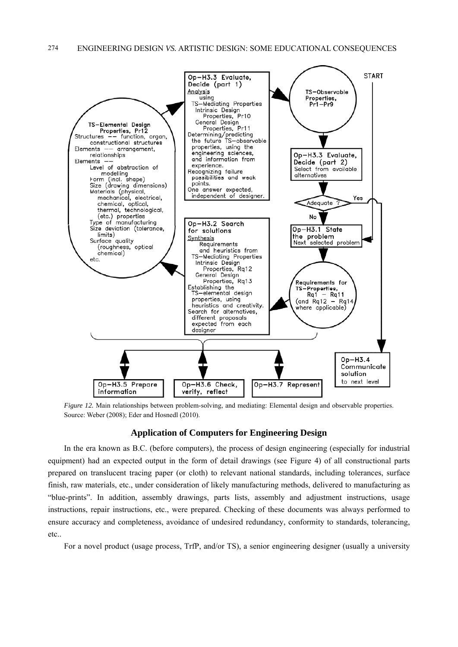

*Figure 12.* Main relationships between problem-solving, and mediating: Elemental design and observable properties. Source: Weber (2008); Eder and Hosnedl (2010).

# **Application of Computers for Engineering Design**

In the era known as B.C. (before computers), the process of design engineering (especially for industrial equipment) had an expected output in the form of detail drawings (see Figure 4) of all constructional parts prepared on translucent tracing paper (or cloth) to relevant national standards, including tolerances, surface finish, raw materials, etc., under consideration of likely manufacturing methods, delivered to manufacturing as "blue-prints". In addition, assembly drawings, parts lists, assembly and adjustment instructions, usage instructions, repair instructions, etc., were prepared. Checking of these documents was always performed to ensure accuracy and completeness, avoidance of undesired redundancy, conformity to standards, tolerancing, etc..

For a novel product (usage process, TrfP, and/or TS), a senior engineering designer (usually a university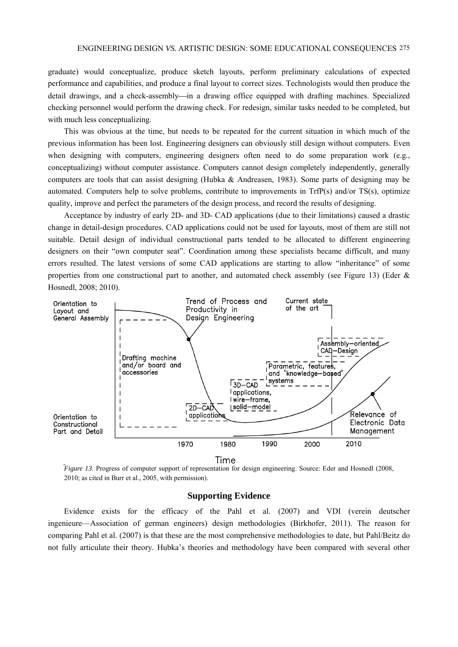graduate) would conceptualize, produce sketch layouts, perform preliminary calculations of expected performance and capabilities, and produce a final layout to correct sizes. Technologists would then produce the detail drawings, and a check-assembly—in a drawing office equipped with drafting machines. Specialized checking personnel would perform the drawing check. For redesign, similar tasks needed to be completed, but with much less conceptualizing.

This was obvious at the time, but needs to be repeated for the current situation in which much of the previous information has been lost. Engineering designers can obviously still design without computers. Even when designing with computers, engineering designers often need to do some preparation work (e.g., conceptualizing) without computer assistance. Computers cannot design completely independently, generally computers are tools that can assist designing (Hubka & Andreasen, 1983). Some parts of designing may be automated. Computers help to solve problems, contribute to improvements in TrfP(s) and/or TS(s), optimize quality, improve and perfect the parameters of the design process, and record the results of designing.

Acceptance by industry of early 2D- and 3D- CAD applications (due to their limitations) caused a drastic change in detail-design procedures. CAD applications could not be used for layouts, most of them are still not suitable. Detail design of individual constructional parts tended to be allocated to different engineering designers on their "own computer seat". Coordination among these specialists became difficult, and many errors resulted. The latest versions of some CAD applications are starting to allow "inheritance" of some properties from one constructional part to another, and automated check assembly (see Figure 13) (Eder  $\&$ Hosnedl, 2008; 2010).



*Figure 13.* Progress of computer support of representation for design engineering. Source: Eder and Hosnedl (2008, 2010; as cited in Burr et al., 2005, with permission).

## **Supporting Evidence**

Evidence exists for the efficacy of the Pahl et al. (2007) and VDI (verein deutscher ingenieure—Association of german engineers) design methodologies (Birkhofer, 2011). The reason for comparing Pahl et al. (2007) is that these are the most comprehensive methodologies to date, but Pahl/Beitz do not fully articulate their theory. Hubka's theories and methodology have been compared with several other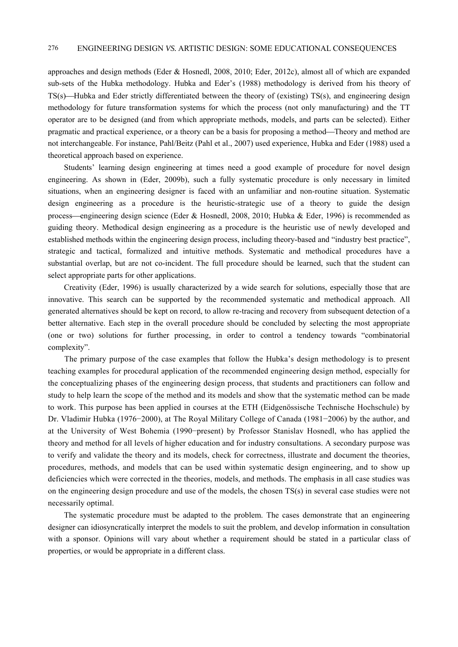approaches and design methods (Eder & Hosnedl, 2008, 2010; Eder, 2012c), almost all of which are expanded sub-sets of the Hubka methodology. Hubka and Eder's (1988) methodology is derived from his theory of TS(s)—Hubka and Eder strictly differentiated between the theory of (existing) TS(s), and engineering design methodology for future transformation systems for which the process (not only manufacturing) and the TT operator are to be designed (and from which appropriate methods, models, and parts can be selected). Either pragmatic and practical experience, or a theory can be a basis for proposing a method—Theory and method are not interchangeable. For instance, Pahl/Beitz (Pahl et al., 2007) used experience, Hubka and Eder (1988) used a theoretical approach based on experience.

Students' learning design engineering at times need a good example of procedure for novel design engineering. As shown in (Eder, 2009b), such a fully systematic procedure is only necessary in limited situations, when an engineering designer is faced with an unfamiliar and non-routine situation. Systematic design engineering as a procedure is the heuristic-strategic use of a theory to guide the design process—engineering design science (Eder & Hosnedl, 2008, 2010; Hubka & Eder, 1996) is recommended as guiding theory. Methodical design engineering as a procedure is the heuristic use of newly developed and established methods within the engineering design process, including theory-based and "industry best practice", strategic and tactical, formalized and intuitive methods. Systematic and methodical procedures have a substantial overlap, but are not co-incident. The full procedure should be learned, such that the student can select appropriate parts for other applications.

Creativity (Eder, 1996) is usually characterized by a wide search for solutions, especially those that are innovative. This search can be supported by the recommended systematic and methodical approach. All generated alternatives should be kept on record, to allow re-tracing and recovery from subsequent detection of a better alternative. Each step in the overall procedure should be concluded by selecting the most appropriate (one or two) solutions for further processing, in order to control a tendency towards "combinatorial complexity".

The primary purpose of the case examples that follow the Hubka's design methodology is to present teaching examples for procedural application of the recommended engineering design method, especially for the conceptualizing phases of the engineering design process, that students and practitioners can follow and study to help learn the scope of the method and its models and show that the systematic method can be made to work. This purpose has been applied in courses at the ETH (Eidgenössische Technische Hochschule) by Dr. Vladimir Hubka (1976−2000), at The Royal Military College of Canada (1981−2006) by the author, and at the University of West Bohemia (1990−present) by Professor Stanislav Hosnedl, who has applied the theory and method for all levels of higher education and for industry consultations. A secondary purpose was to verify and validate the theory and its models, check for correctness, illustrate and document the theories, procedures, methods, and models that can be used within systematic design engineering, and to show up deficiencies which were corrected in the theories, models, and methods. The emphasis in all case studies was on the engineering design procedure and use of the models, the chosen TS(s) in several case studies were not necessarily optimal.

The systematic procedure must be adapted to the problem. The cases demonstrate that an engineering designer can idiosyncratically interpret the models to suit the problem, and develop information in consultation with a sponsor. Opinions will vary about whether a requirement should be stated in a particular class of properties, or would be appropriate in a different class.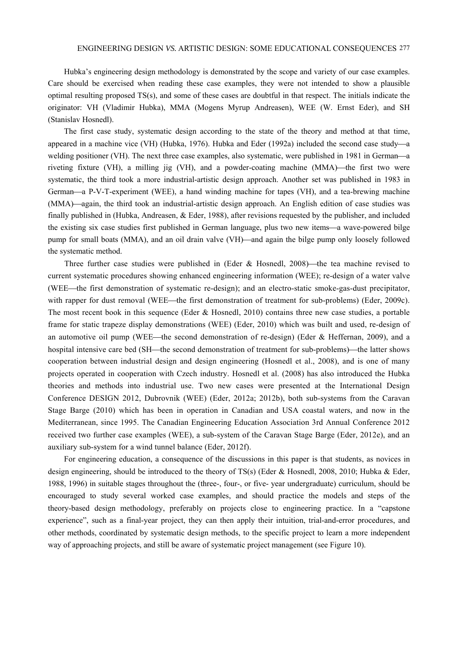Hubka's engineering design methodology is demonstrated by the scope and variety of our case examples. Care should be exercised when reading these case examples, they were not intended to show a plausible optimal resulting proposed TS(s), and some of these cases are doubtful in that respect. The initials indicate the originator: VH (Vladimir Hubka), MMA (Mogens Myrup Andreasen), WEE (W. Ernst Eder), and SH (Stanislav Hosnedl).

The first case study, systematic design according to the state of the theory and method at that time, appeared in a machine vice (VH) (Hubka, 1976). Hubka and Eder (1992a) included the second case study—a welding positioner (VH). The next three case examples, also systematic, were published in 1981 in German—a riveting fixture (VH), a milling jig (VH), and a powder-coating machine (MMA)—the first two were systematic, the third took a more industrial-artistic design approach. Another set was published in 1983 in German—a P-V-T-experiment (WEE), a hand winding machine for tapes (VH), and a tea-brewing machine (MMA)—again, the third took an industrial-artistic design approach. An English edition of case studies was finally published in (Hubka, Andreasen, & Eder, 1988), after revisions requested by the publisher, and included the existing six case studies first published in German language, plus two new items—a wave-powered bilge pump for small boats (MMA), and an oil drain valve (VH)—and again the bilge pump only loosely followed the systematic method.

Three further case studies were published in (Eder & Hosnedl, 2008)—the tea machine revised to current systematic procedures showing enhanced engineering information (WEE); re-design of a water valve (WEE—the first demonstration of systematic re-design); and an electro-static smoke-gas-dust precipitator, with rapper for dust removal (WEE—the first demonstration of treatment for sub-problems) (Eder, 2009c). The most recent book in this sequence (Eder & Hosnedl, 2010) contains three new case studies, a portable frame for static trapeze display demonstrations (WEE) (Eder, 2010) which was built and used, re-design of an automotive oil pump (WEE—the second demonstration of re-design) (Eder & Heffernan, 2009), and a hospital intensive care bed (SH—the second demonstration of treatment for sub-problems)—the latter shows cooperation between industrial design and design engineering (Hosnedl et al., 2008), and is one of many projects operated in cooperation with Czech industry. Hosnedl et al. (2008) has also introduced the Hubka theories and methods into industrial use. Two new cases were presented at the International Design Conference DESIGN 2012, Dubrovnik (WEE) (Eder, 2012a; 2012b), both sub-systems from the Caravan Stage Barge (2010) which has been in operation in Canadian and USA coastal waters, and now in the Mediterranean, since 1995. The Canadian Engineering Education Association 3rd Annual Conference 2012 received two further case examples (WEE), a sub-system of the Caravan Stage Barge (Eder, 2012e), and an auxiliary sub-system for a wind tunnel balance (Eder, 2012f).

For engineering education, a consequence of the discussions in this paper is that students, as novices in design engineering, should be introduced to the theory of TS(s) (Eder & Hosnedl, 2008, 2010; Hubka & Eder, 1988, 1996) in suitable stages throughout the (three-, four-, or five- year undergraduate) curriculum, should be encouraged to study several worked case examples, and should practice the models and steps of the theory-based design methodology, preferably on projects close to engineering practice. In a "capstone experience", such as a final-year project, they can then apply their intuition, trial-and-error procedures, and other methods, coordinated by systematic design methods, to the specific project to learn a more independent way of approaching projects, and still be aware of systematic project management (see Figure 10).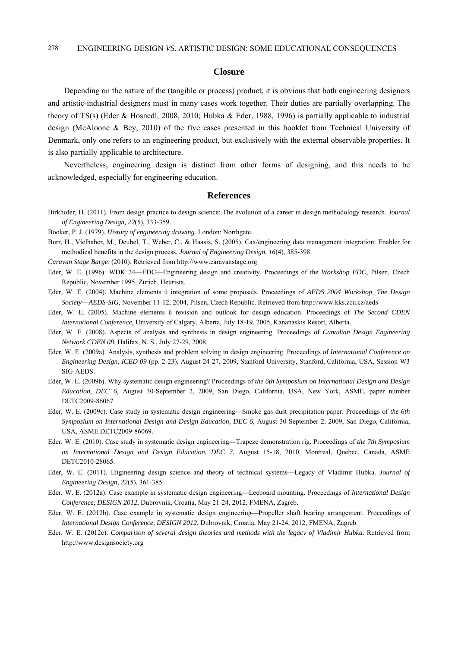## **Closure**

Depending on the nature of the (tangible or process) product, it is obvious that both engineering designers and artistic-industrial designers must in many cases work together. Their duties are partially overlapping. The theory of TS(s) (Eder & Hosnedl, 2008, 2010; Hubka & Eder, 1988, 1996) is partially applicable to industrial design (McAloone & Bey, 2010) of the five cases presented in this booklet from Technical University of Denmark, only one refers to an engineering product, but exclusively with the external observable properties. It is also partially applicable to architecture.

Nevertheless, engineering design is distinct from other forms of designing, and this needs to be acknowledged, especially for engineering education.

#### **References**

Birkhofer, H. (2011). From design practice to design science: The evolution of a career in design methodology research. *Journal of Engineering Design, 22*(5), 333-359.

Booker, P. J. (1979). *History of engineering drawing*. London: Northgate.

Burr, H., Vielhaber, M., Deubel, T., Weber, C., & Haasis, S. (2005). Cax/engineering data management integration: Enabler for methodical benefits in the design process. *Journal of Engineering Design, 16*(4), 385-398.

*Caravan Stage Barge*. (2010). Retrieved from http://www.caravanstage.org

- Eder, W. E. (1996). WDK 24—EDC—Engineering design and creativity. Proceedings of the *Workshop EDC*, Pilsen, Czech Republic, November 1995, Zürich, Heurista.
- Eder, W. E. (2004). Machine elements û integration of some proposals. Proceedings of *AEDS 2004 Workshop, The Design SocietyAEDS-SIG*, November 11-12, 2004, Pilsen, Czech Republic. Retrieved from http://www.kks.zcu.cz/aeds
- Eder, W. E. (2005). Machine elements û revision and outlook for design education. Proceedings of *The Second CDEN International Conference*, University of Calgary, Alberta, July 18-19, 2005, Kananaskis Resort, Alberta.
- Eder, W. E. (2008). Aspects of analysis and synthesis in design engineering. Proceedings of *Canadian Design Engineering Network CDEN 08*, Halifax, N. S., July 27-29, 2008.
- Eder, W. E. (2009a). Analysis, synthesis and problem solving in design engineering. Proceedings of *International Conference on Engineering Design, ICED 09* (pp. 2-23), August 24-27, 2009, Stanford University, Stanford, California, USA, Session W3 SIG-AEDS.
- Eder, W. E. (2009b). Why systematic design engineering? Proceedings of *the 6th Symposium on International Design and Design Education, DEC 6*, August 30-September 2, 2009, San Diego, California, USA, New York, ASME, paper number DETC2009-86067.
- Eder, W. E. (2009c). Case study in systematic design engineering—Smoke gas dust precipitation paper. Proceedings of *the 6th Symposium on International Design and Design Education, DEC 6*, August 30-September 2, 2009, San Diego, California, USA, ASME DETC2009-86069.
- Eder, W. E. (2010). Case study in systematic design engineering—Trapeze demonstration rig. Proceedings of *the 7th Symposium on International Design and Design Education, DEC 7*, August 15-18, 2010, Montreal, Quebec, Canada, ASME DETC2010-28065.
- Eder, W. E. (2011). Engineering design science and theory of technical systems-Legacy of Vladimir Hubka. *Journal of Engineering Design, 22*(5), 361-385.
- Eder, W. E. (2012a). Case example in systematic design engineeringLeeboard mounting. Proceedings of *International Design Conference, DESIGN 2012*, Dubrovnik, Croatia, May 21-24, 2012, FMENA, Zagreb.
- Eder, W. E. (2012b). Case example in systematic design engineering—Propeller shaft bearing arrangement. Proceedings of *International Design Conference, DESIGN 2012*, Dubrovnik, Croatia, May 21-24, 2012, FMENA, Zagreb.
- Eder, W. E. (2012c). *Comparison of several design theories and methods with the legacy of Vladimir Hubka*. Retrieved from http://www.designsociety.org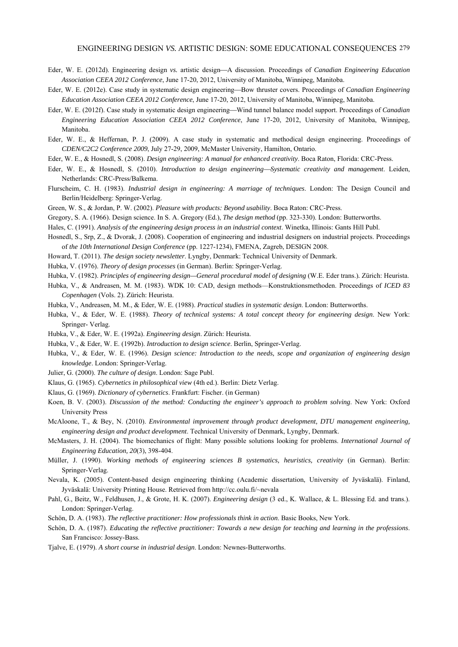- Eder, W. E. (2012d). Engineering design *vs.* artistic design-A discussion. Proceedings of *Canadian Engineering Education Association CEEA 2012 Conference*, June 17-20, 2012, University of Manitoba, Winnipeg, Manitoba.
- Eder, W. E. (2012e). Case study in systematic design engineering—Bow thruster covers. Proceedings of *Canadian Engineering Education Association CEEA 2012 Conference*, June 17-20, 2012, University of Manitoba, Winnipeg, Manitoba.
- Eder, W. E. (2012f). Case study in systematic design engineering—Wind tunnel balance model support. Proceedings of *Canadian Engineering Education Association CEEA 2012 Conference*, June 17-20, 2012, University of Manitoba, Winnipeg, Manitoba.
- Eder, W. E., & Heffernan, P. J. (2009). A case study in systematic and methodical design engineering. Proceedings of *CDEN/C2C2 Conference 2009*, July 27-29, 2009, McMaster University, Hamilton, Ontario.
- Eder, W. E., & Hosnedl, S. (2008). *Design engineering: A manual for enhanced creativity*. Boca Raton, Florida: CRC-Press.
- Eder, W. E., & Hosnedl, S. (2010). *Introduction to design engineering—Systematic creativity and management*. Leiden, Netherlands: CRC-Press/Balkema.
- Flurscheim, C. H. (1983). *Industrial design in engineering: A marriage of techniques*. London: The Design Council and Berlin/Heidelberg: Springer-Verlag.
- Green, W. S., & Jordan, P. W. (2002). *Pleasure with products: Beyond usability*. Boca Raton: CRC-Press.
- Gregory, S. A. (1966). Design science. In S. A. Gregory (Ed.), *The design method* (pp. 323-330). London: Butterworths.
- Hales, C. (1991). *Analysis of the engineering design process in an industrial context*. Winetka, Illinois: Gants Hill Publ.
- Hosnedl, S., Srp, Z., & Dvorak, J. (2008). Cooperation of engineering and industrial designers on industrial projects. Proceedings of *the 10th International Design Conference* (pp. 1227-1234), FMENA, Zagreb, DESIGN 2008.
- Howard, T. (2011). *The design society newsletter*. Lyngby, Denmark: Technical University of Denmark.
- Hubka, V. (1976). *Theory of design processes* (in German). Berlin: Springer-Verlag.
- Hubka, V. (1982). *Principles of engineering design—General procedural model of designing* (W.E. Eder trans.)*.* Zürich: Heurista.
- Hubka, V., & Andreasen, M. M. (1983). WDK 10: CAD, design methods—Konstruktionsmethoden. Proceedings of *ICED 83 Copenhagen* (Vols. 2). Zürich: Heurista.
- Hubka, V., Andreasen, M. M., & Eder, W. E. (1988). *Practical studies in systematic design*. London: Butterworths.
- Hubka, V., & Eder, W. E. (1988). *Theory of technical systems: A total concept theory for engineering design*. New York: Springer- Verlag.
- Hubka, V., & Eder, W. E. (1992a). *Engineering design*. Zürich: Heurista.
- Hubka, V., & Eder, W. E. (1992b). *Introduction to design science*. Berlin, Springer-Verlag.
- Hubka, V., & Eder, W. E. (1996). *Design science: Introduction to the needs, scope and organization of engineering design knowledge*. London: Springer-Verlag.
- Julier, G. (2000). *The culture of design*. London: Sage Publ.
- Klaus, G. (1965). *Cybernetics in philosophical view* (4th ed.). Berlin: Dietz Verlag.
- Klaus, G. (1969). *Dictionary of cybernetics*. Frankfurt: Fischer. (in German)
- Koen, B. V. (2003). *Discussion of the method: Conducting the engineer's approach to problem solving*. New York: Oxford University Press
- McAloone, T., & Bey, N. (2010). *Environmental improvement through product development, DTU management engineering, engineering design and product development*. Technical University of Denmark, Lyngby, Denmark.
- McMasters, J. H. (2004). The biomechanics of flight: Many possible solutions looking for problems. *International Journal of Engineering Education, 20*(3), 398-404.
- Müller, J. (1990). *Working methods of engineering sciences B systematics, heuristics, creativity* (in German). Berlin: Springer-Verlag.
- Nevala, K. (2005). Content-based design engineering thinking (Academic dissertation, University of Jyväskalä). Finland, Jyväskalä: University Printing House. Retrieved from http://cc.oulu.fi/~nevala
- Pahl, G., Beitz, W., Feldhusen, J., & Grote, H. K. (2007). *Engineering design* (3 ed., K. Wallace, & L. Blessing Ed. and trans.). London: Springer-Verlag.
- Schön, D. A. (1983). *The reflective practitioner: How professionals think in action*. Basic Books, New York.
- Schön, D. A. (1987). *Educating the reflective practitioner: Towards a new design for teaching and learning in the professions*. San Francisco: Jossey-Bass.
- Tjalve, E. (1979). *A short course in industrial design*. London: Newnes-Butterworths.